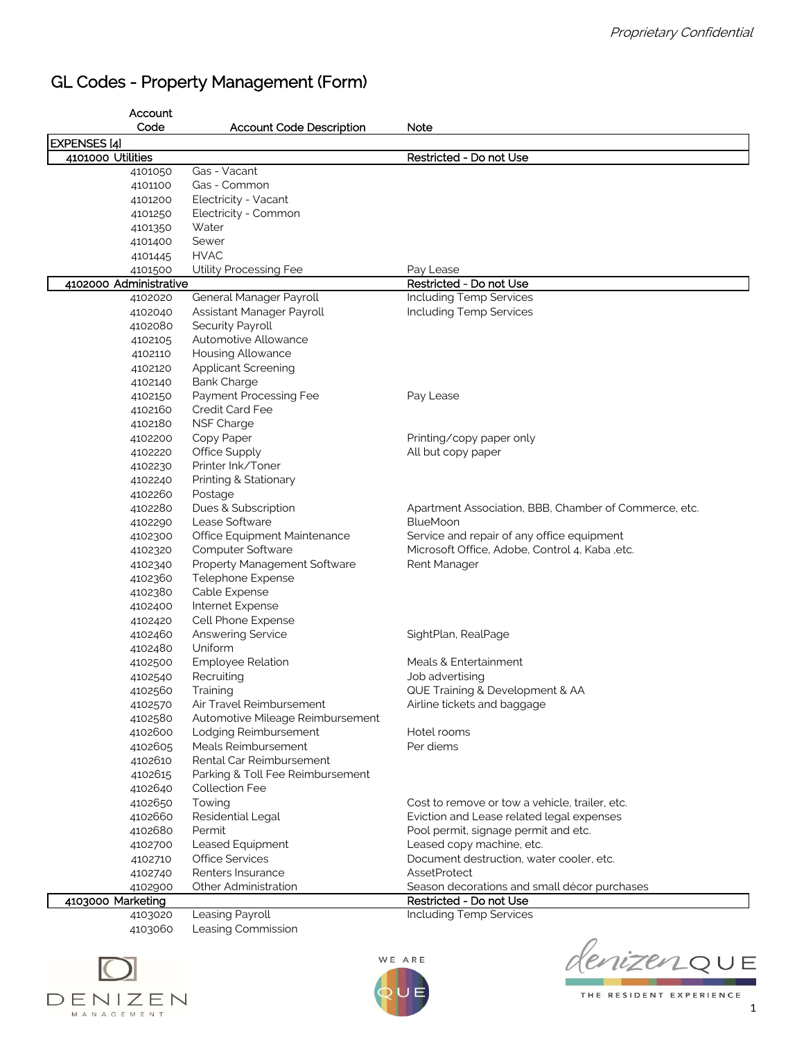## GL Codes - Property Management (Form)

| Account                           |                                      |                                                                |
|-----------------------------------|--------------------------------------|----------------------------------------------------------------|
| Code                              | <b>Account Code Description</b>      | Note                                                           |
| <b>EXPENSES [4]</b>               |                                      |                                                                |
| 4101000 Utilities                 |                                      | Restricted - Do not Use                                        |
| 4101050                           | Gas - Vacant                         |                                                                |
| 4101100                           | Gas - Common                         |                                                                |
| 4101200                           | Electricity - Vacant                 |                                                                |
| 4101250                           | Electricity - Common                 |                                                                |
| 4101350                           | Water                                |                                                                |
| 4101400                           | Sewer                                |                                                                |
| 4101445                           | <b>HVAC</b>                          |                                                                |
| 4101500<br>4102000 Administrative | Utility Processing Fee               | Pay Lease<br>Restricted - Do not Use                           |
| 4102020                           | General Manager Payroll              | Including Temp Services                                        |
| 4102040                           | Assistant Manager Payroll            | Including Temp Services                                        |
| 4102080                           | Security Payroll                     |                                                                |
| 4102105                           | Automotive Allowance                 |                                                                |
| 4102110                           | Housing Allowance                    |                                                                |
| 4102120                           | <b>Applicant Screening</b>           |                                                                |
| 4102140                           | <b>Bank Charge</b>                   |                                                                |
| 4102150                           | Payment Processing Fee               | Pay Lease                                                      |
| 4102160                           | Credit Card Fee                      |                                                                |
| 4102180                           | NSF Charge                           |                                                                |
| 4102200                           | Copy Paper                           | Printing/copy paper only                                       |
| 4102220                           | Office Supply                        | All but copy paper                                             |
| 4102230                           | Printer Ink/Toner                    |                                                                |
| 4102240                           | Printing & Stationary                |                                                                |
| 4102260                           | Postage                              |                                                                |
| 4102280                           | Dues & Subscription                  | Apartment Association, BBB, Chamber of Commerce, etc.          |
| 4102290                           | Lease Software                       | <b>BlueMoon</b>                                                |
| 4102300                           | Office Equipment Maintenance         | Service and repair of any office equipment                     |
| 4102320                           | Computer Software                    | Microsoft Office, Adobe, Control 4, Kaba, etc.                 |
| 4102340                           | Property Management Software         | Rent Manager                                                   |
| 4102360                           | Telephone Expense                    |                                                                |
| 4102380                           | Cable Expense                        |                                                                |
| 4102400                           | Internet Expense                     |                                                                |
| 4102420                           | Cell Phone Expense                   |                                                                |
| 4102460                           | Answering Service                    | SightPlan, RealPage                                            |
| 4102480                           | Uniform                              |                                                                |
| 4102500                           | <b>Employee Relation</b>             | Meals & Entertainment                                          |
| 4102540                           | Recruiting                           | Job advertising                                                |
| 4102560                           | Training<br>Air Travel Reimbursement | QUE Training & Development & AA<br>Airline tickets and baggage |
| 4102570<br>4102580                | Automotive Mileage Reimbursement     |                                                                |
| 4102600                           | Lodging Reimbursement                | Hotel rooms                                                    |
| 4102605                           | Meals Reimbursement                  | Per diems                                                      |
| 4102610                           | Rental Car Reimbursement             |                                                                |
| 4102615                           | Parking & Toll Fee Reimbursement     |                                                                |
| 4102640                           | <b>Collection Fee</b>                |                                                                |
| 4102650                           | Towing                               | Cost to remove or tow a vehicle, trailer, etc.                 |
| 4102660                           | Residential Legal                    | Eviction and Lease related legal expenses                      |
| 4102680                           | Permit                               | Pool permit, signage permit and etc.                           |
| 4102700                           | Leased Equipment                     | Leased copy machine, etc.                                      |
| 4102710                           | <b>Office Services</b>               | Document destruction, water cooler, etc.                       |
| 4102740                           | Renters Insurance                    | <b>AssetProtect</b>                                            |
| 4102900                           | Other Administration                 | Season decorations and small décor purchases                   |
| 4103000 Marketing                 |                                      | Restricted - Do not Use                                        |
| 4103020                           | Leasing Payroll                      | Including Temp Services                                        |
| 4103060                           | Leasing Commission                   |                                                                |





denizenQUE

THE RESIDENT EXPERIENCE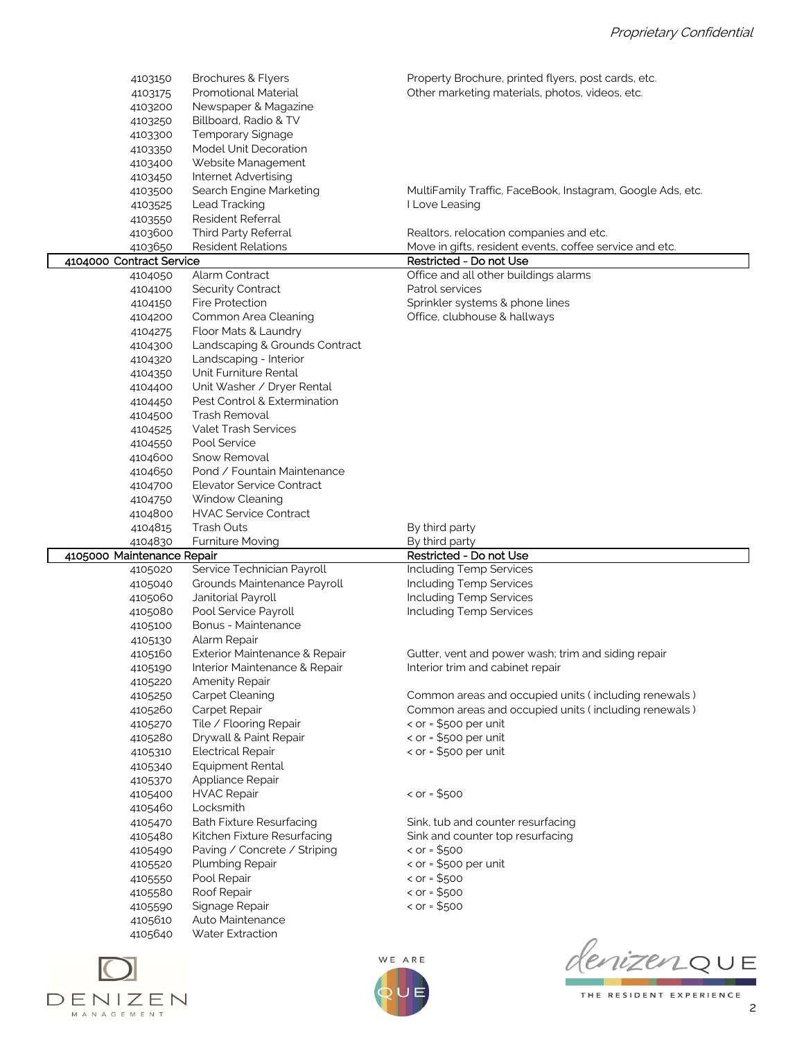| 4103150<br>4103175<br>4103200<br>4103250<br>4103300<br>4103350<br>4103400 | Brochures & Flyers<br>Promotional Material<br>Newspaper & Magazine<br>Billboard, Radio & TV<br><b>Temporary Signage</b><br>Model Unit Decoration<br>Website Management | Property Brochure, printed flyers, post cards, etc.<br>Other marketing materials, photos, videos, etc. |
|---------------------------------------------------------------------------|------------------------------------------------------------------------------------------------------------------------------------------------------------------------|--------------------------------------------------------------------------------------------------------|
| 4103450                                                                   | Internet Advertising                                                                                                                                                   |                                                                                                        |
| 4103500                                                                   | Search Engine Marketing                                                                                                                                                | MultiFamily Traffic, FaceBook, Instagram, Google Ads, etc.                                             |
| 4103525                                                                   | Lead Tracking                                                                                                                                                          | I Love Leasing                                                                                         |
| 4103550                                                                   | Resident Referral                                                                                                                                                      |                                                                                                        |
| 4103600                                                                   | Third Party Referral                                                                                                                                                   | Realtors, relocation companies and etc.                                                                |
| 4103650                                                                   | <b>Resident Relations</b>                                                                                                                                              | Move in gifts, resident events, coffee service and etc.                                                |
| 4104000 Contract Service                                                  |                                                                                                                                                                        | Restricted - Do not Use                                                                                |
| 4104050                                                                   | Alarm Contract                                                                                                                                                         | Office and all other buildings alarms                                                                  |
| 4104100                                                                   | Security Contract                                                                                                                                                      | Patrol services                                                                                        |
| 4104150                                                                   | <b>Fire Protection</b>                                                                                                                                                 | Sprinkler systems & phone lines                                                                        |
| 4104200                                                                   | Common Area Cleaning                                                                                                                                                   | Office, clubhouse & hallways                                                                           |
| 4104275                                                                   | Floor Mats & Laundry                                                                                                                                                   |                                                                                                        |
| 4104300                                                                   | Landscaping & Grounds Contract                                                                                                                                         |                                                                                                        |
| 4104320                                                                   | Landscaping - Interior                                                                                                                                                 |                                                                                                        |
| 4104350                                                                   | Unit Furniture Rental<br>Unit Washer / Dryer Rental                                                                                                                    |                                                                                                        |
| 4104400<br>4104450                                                        | Pest Control & Extermination                                                                                                                                           |                                                                                                        |
|                                                                           | Trash Removal                                                                                                                                                          |                                                                                                        |
| 4104500<br>4104525                                                        | <b>Valet Trash Services</b>                                                                                                                                            |                                                                                                        |
| 4104550                                                                   | Pool Service                                                                                                                                                           |                                                                                                        |
| 4104600                                                                   | Snow Removal                                                                                                                                                           |                                                                                                        |
| 4104650                                                                   | Pond / Fountain Maintenance                                                                                                                                            |                                                                                                        |
| 4104700                                                                   | Elevator Service Contract                                                                                                                                              |                                                                                                        |
| 4104750                                                                   | Window Cleaning                                                                                                                                                        |                                                                                                        |
| 4104800                                                                   | <b>HVAC Service Contract</b>                                                                                                                                           |                                                                                                        |
|                                                                           |                                                                                                                                                                        |                                                                                                        |
|                                                                           |                                                                                                                                                                        |                                                                                                        |
| 4104815                                                                   | <b>Trash Outs</b>                                                                                                                                                      | By third party                                                                                         |
| 4104830                                                                   | <b>Furniture Moving</b>                                                                                                                                                | By third party                                                                                         |
| 4105000 Maintenance Repair<br>4105020                                     | Service Technician Payroll                                                                                                                                             | Restricted - Do not Use<br>Including Temp Services                                                     |
| 4105040                                                                   | Grounds Maintenance Payroll                                                                                                                                            | Including Temp Services                                                                                |
| 4105060                                                                   | Janitorial Payroll                                                                                                                                                     | <b>Including Temp Services</b>                                                                         |
| 4105080                                                                   | Pool Service Payroll                                                                                                                                                   | Including Temp Services                                                                                |
| 4105100                                                                   | Bonus - Maintenance                                                                                                                                                    |                                                                                                        |
| 4105130                                                                   | Alarm Repair                                                                                                                                                           |                                                                                                        |
| 4105160                                                                   | Exterior Maintenance & Repair                                                                                                                                          | Gutter, vent and power wash; trim and siding repair                                                    |
| 4105190                                                                   | Interior Maintenance & Repair                                                                                                                                          | Interior trim and cabinet repair                                                                       |
| 4105220                                                                   | <b>Amenity Repair</b>                                                                                                                                                  |                                                                                                        |
| 4105250                                                                   | Carpet Cleaning                                                                                                                                                        | Common areas and occupied units (including renewals)                                                   |
| 4105260                                                                   | Carpet Repair                                                                                                                                                          | Common areas and occupied units (including renewals)                                                   |
| 4105270                                                                   | Tile / Flooring Repair                                                                                                                                                 | < $or = $500$ per unit                                                                                 |
| 4105280                                                                   | Drywall & Paint Repair                                                                                                                                                 | < $or = $500$ per unit                                                                                 |
| 4105310                                                                   | <b>Electrical Repair</b>                                                                                                                                               | < $or = $500$ per unit                                                                                 |
| 4105340                                                                   | Equipment Rental                                                                                                                                                       |                                                                                                        |
| 4105370                                                                   | Appliance Repair                                                                                                                                                       |                                                                                                        |
| 4105400                                                                   | <b>HVAC Repair</b>                                                                                                                                                     | $\texttt{&}$ or = \$500                                                                                |
| 4105460                                                                   | Locksmith                                                                                                                                                              |                                                                                                        |
| 4105470                                                                   | <b>Bath Fixture Resurfacing</b>                                                                                                                                        | Sink, tub and counter resurfacing                                                                      |
| 4105480                                                                   | Kitchen Fixture Resurfacing                                                                                                                                            | Sink and counter top resurfacing                                                                       |
| 4105490                                                                   | Paving / Concrete / Striping                                                                                                                                           | $\le$ or = \$500                                                                                       |
| 4105520                                                                   | Plumbing Repair                                                                                                                                                        | $\le$ or = \$500 per unit                                                                              |
| 4105550                                                                   | Pool Repair                                                                                                                                                            | $\texttt{&} \text{or} = $500$                                                                          |
| 4105580                                                                   | Roof Repair                                                                                                                                                            | $\texttt{&} \text{or} = $500$                                                                          |
| 4105590                                                                   | Signage Repair                                                                                                                                                         | $<$ or = \$500                                                                                         |
| 4105610<br>4105640                                                        | Auto Maintenance<br>Water Extraction                                                                                                                                   |                                                                                                        |







THE RESIDENT EXPERIENCE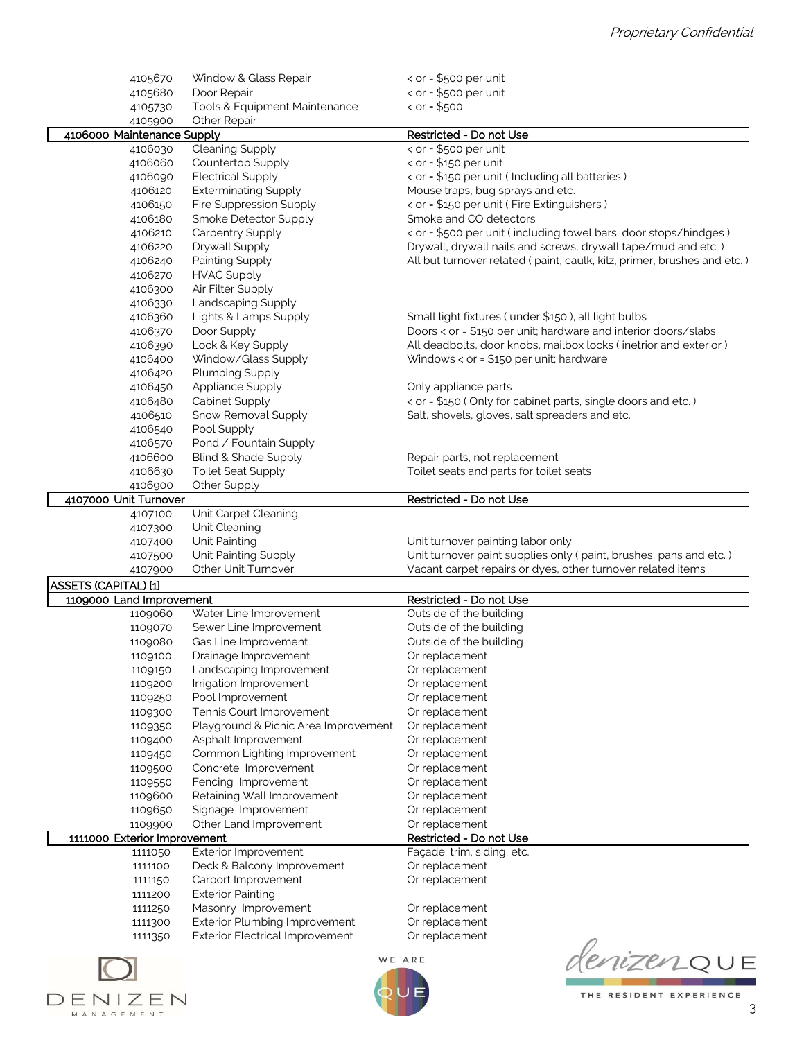| 4105670                      | Window & Glass Repair                  | $\le$ or = \$500 per unit                                               |
|------------------------------|----------------------------------------|-------------------------------------------------------------------------|
| 4105680                      | Door Repair                            | < $or = $500$ per unit                                                  |
| 4105730                      | Tools & Equipment Maintenance          | $<$ or = \$500                                                          |
| 4105900                      | Other Repair                           |                                                                         |
| 4106000 Maintenance Supply   |                                        | Restricted - Do not Use                                                 |
| 4106030                      | Cleaning Supply                        | $\le$ or = \$500 per unit                                               |
| 4106060                      | Countertop Supply                      | < $or = $150 per unit$                                                  |
| 4106090                      | <b>Electrical Supply</b>               | < or = \$150 per unit ( Including all batteries )                       |
| 4106120                      | <b>Exterminating Supply</b>            | Mouse traps, bug sprays and etc.                                        |
| 4106150                      | Fire Suppression Supply                | < or = \$150 per unit ( Fire Extinguishers )                            |
| 4106180                      | Smoke Detector Supply                  | Smoke and CO detectors                                                  |
| 4106210                      | Carpentry Supply                       | < or = \$500 per unit (including towel bars, door stops/hindges)        |
| 4106220                      | Drywall Supply                         | Drywall, drywall nails and screws, drywall tape/mud and etc.)           |
| 4106240                      | Painting Supply                        | All but turnover related (paint, caulk, kilz, primer, brushes and etc.) |
| 4106270                      | <b>HVAC Supply</b>                     |                                                                         |
| 4106300                      | Air Filter Supply                      |                                                                         |
| 4106330                      | Landscaping Supply                     |                                                                         |
| 4106360                      | Lights & Lamps Supply                  | Small light fixtures (under \$150), all light bulbs                     |
| 4106370                      | Door Supply                            | Doors < or = \$150 per unit; hardware and interior doors/slabs          |
| 4106390                      | Lock & Key Supply                      | All deadbolts, door knobs, mailbox locks (inetrior and exterior)        |
| 4106400                      | Window/Glass Supply                    | Windows < or = \$150 per unit; hardware                                 |
| 4106420                      | Plumbing Supply                        |                                                                         |
| 4106450                      | Appliance Supply                       | Only appliance parts                                                    |
| 4106480                      | Cabinet Supply                         | < or = \$150 (Only for cabinet parts, single doors and etc.)            |
| 4106510                      | Snow Removal Supply                    | Salt, shovels, gloves, salt spreaders and etc.                          |
| 4106540                      | Pool Supply                            |                                                                         |
| 4106570                      | Pond / Fountain Supply                 |                                                                         |
| 4106600                      | Blind & Shade Supply                   | Repair parts, not replacement                                           |
| 4106630                      | <b>Toilet Seat Supply</b>              | Toilet seats and parts for toilet seats                                 |
| 4106900                      | Other Supply                           |                                                                         |
| 4107000 Unit Turnover        |                                        | Restricted - Do not Use                                                 |
| 4107100                      | Unit Carpet Cleaning                   |                                                                         |
|                              |                                        |                                                                         |
|                              |                                        |                                                                         |
| 4107300                      | Unit Cleaning                          |                                                                         |
| 4107400                      | Unit Painting                          | Unit turnover painting labor only                                       |
| 4107500                      | Unit Painting Supply                   | Unit turnover paint supplies only (paint, brushes, pans and etc.)       |
| 4107900                      | <b>Other Unit Turnover</b>             | Vacant carpet repairs or dyes, other turnover related items             |
| <b>ASSETS (CAPITAL) [1]</b>  |                                        |                                                                         |
| 1109000 Land Improvement     |                                        | Restricted - Do not Use                                                 |
| 1109060                      | Water Line Improvement                 | Outside of the building                                                 |
| 1109070                      | Sewer Line Improvement                 | Outside of the building                                                 |
| 1109080                      | Gas Line Improvement                   | Outside of the building                                                 |
| 1109100                      | Drainage Improvement                   | Or replacement                                                          |
| 1109150                      | Landscaping Improvement                | Or replacement                                                          |
| 1109200                      | Irrigation Improvement                 | Or replacement                                                          |
| 1109250                      | Pool Improvement                       | Or replacement                                                          |
| 1109300                      | Tennis Court Improvement               | Or replacement                                                          |
| 1109350                      | Playground & Picnic Area Improvement   | Or replacement                                                          |
| 1109400                      | Asphalt Improvement                    | Or replacement                                                          |
| 1109450                      | Common Lighting Improvement            | Or replacement                                                          |
| 1109500                      | Concrete Improvement                   | Or replacement                                                          |
| 1109550                      | Fencing Improvement                    | Or replacement                                                          |
| 1109600                      | Retaining Wall Improvement             | Or replacement                                                          |
| 1109650                      | Signage Improvement                    | Or replacement                                                          |
| 1109900                      | Other Land Improvement                 | Or replacement                                                          |
| 1111000 Exterior Improvement |                                        | Restricted - Do not Use                                                 |
| 1111050                      | Exterior Improvement                   | Façade, trim, siding, etc.                                              |
| 1111100                      | Deck & Balcony Improvement             | Or replacement                                                          |
| 1111150                      | Carport Improvement                    | Or replacement                                                          |
| 1111200                      | <b>Exterior Painting</b>               |                                                                         |
| 1111250                      | Masonry Improvement                    | Or replacement                                                          |
| 1111300                      | <b>Exterior Plumbing Improvement</b>   | Or replacement                                                          |
| 1111350                      | <b>Exterior Electrical Improvement</b> | Or replacement                                                          |



WE ARE



THE RESIDENT EXPERIENCE